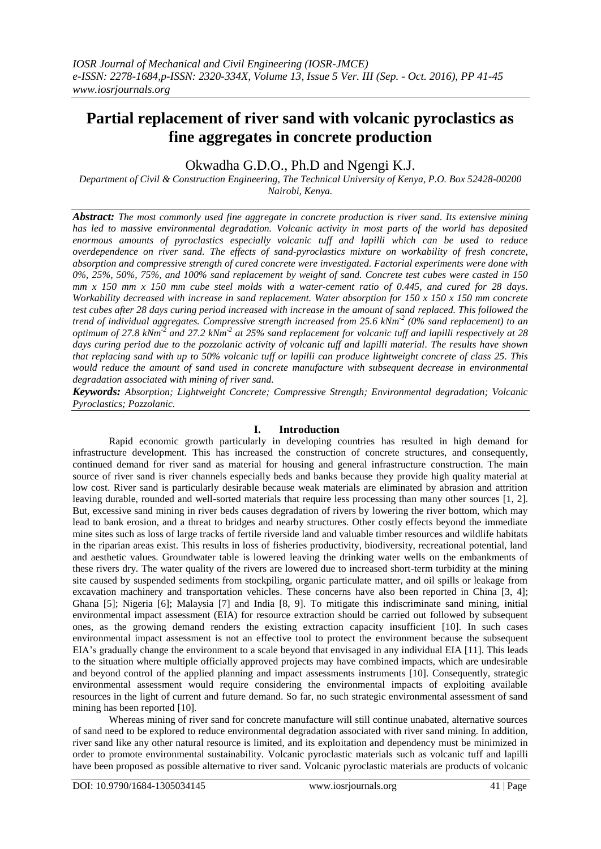# **Partial replacement of river sand with volcanic pyroclastics as fine aggregates in concrete production**

Okwadha G.D.O., Ph.D and Ngengi K.J.

*Department of Civil & Construction Engineering, The Technical University of Kenya, P.O. Box 52428-00200 Nairobi, Kenya.*

*Abstract: The most commonly used fine aggregate in concrete production is river sand. Its extensive mining has led to massive environmental degradation. Volcanic activity in most parts of the world has deposited enormous amounts of pyroclastics especially volcanic tuff and lapilli which can be used to reduce overdependence on river sand. The effects of sand-pyroclastics mixture on workability of fresh concrete, absorption and compressive strength of cured concrete were investigated. Factorial experiments were done with 0%, 25%, 50%, 75%, and 100% sand replacement by weight of sand. Concrete test cubes were casted in 150 mm x 150 mm x 150 mm cube steel molds with a water-cement ratio of 0.445, and cured for 28 days. Workability decreased with increase in sand replacement. Water absorption for 150 x 150 x 150 mm concrete test cubes after 28 days curing period increased with increase in the amount of sand replaced. This followed the trend of individual aggregates. Compressive strength increased from 25.6 kNm<sup>2</sup> (0% sand replacement) to an optimum of 27.8 kNm-2 and 27.2 kNm-2 at 25% sand replacement for volcanic tuff and lapilli respectively at 28 days curing period due to the pozzolanic activity of volcanic tuff and lapilli material. The results have shown that replacing sand with up to 50% volcanic tuff or lapilli can produce lightweight concrete of class 25. This would reduce the amount of sand used in concrete manufacture with subsequent decrease in environmental degradation associated with mining of river sand.* 

*Keywords: Absorption; Lightweight Concrete; Compressive Strength; Environmental degradation; Volcanic Pyroclastics; Pozzolanic.*

# **I. Introduction**

Rapid economic growth particularly in developing countries has resulted in high demand for infrastructure development. This has increased the construction of concrete structures, and consequently, continued demand for river sand as material for housing and general infrastructure construction. The main source of river sand is river channels especially beds and banks because they provide high quality material at low cost. River sand is particularly desirable because weak materials are eliminated by abrasion and attrition leaving durable, rounded and well-sorted materials that require less processing than many other sources [1, 2]. But, excessive sand mining in river beds causes degradation of rivers by lowering the river bottom, which may lead to bank erosion, and a threat to bridges and nearby structures. Other costly effects beyond the immediate mine sites such as loss of large tracks of fertile riverside land and valuable timber resources and wildlife habitats in the riparian areas exist. This results in loss of fisheries productivity, biodiversity, recreational potential, land and aesthetic values. Groundwater table is lowered leaving the drinking water wells on the embankments of these rivers dry. The water quality of the rivers are lowered due to increased short-term turbidity at the mining site caused by suspended sediments from stockpiling, organic particulate matter, and oil spills or leakage from excavation machinery and transportation vehicles. These concerns have also been reported in China [3, 4]; Ghana [5]; Nigeria [6]; Malaysia [7] and India [8, 9]. To mitigate this indiscriminate sand mining, initial environmental impact assessment (EIA) for resource extraction should be carried out followed by subsequent ones, as the growing demand renders the existing extraction capacity insufficient [10]. In such cases environmental impact assessment is not an effective tool to protect the environment because the subsequent EIA's gradually change the environment to a scale beyond that envisaged in any individual EIA [11]. This leads to the situation where multiple officially approved projects may have combined impacts, which are undesirable and beyond control of the applied planning and impact assessments instruments [10]. Consequently, strategic environmental assessment would require considering the environmental impacts of exploiting available resources in the light of current and future demand. So far, no such strategic environmental assessment of sand mining has been reported [10].

Whereas mining of river sand for concrete manufacture will still continue unabated, alternative sources of sand need to be explored to reduce environmental degradation associated with river sand mining. In addition, river sand like any other natural resource is limited, and its exploitation and dependency must be minimized in order to promote environmental sustainability. Volcanic pyroclastic materials such as volcanic tuff and lapilli have been proposed as possible alternative to river sand. Volcanic pyroclastic materials are products of volcanic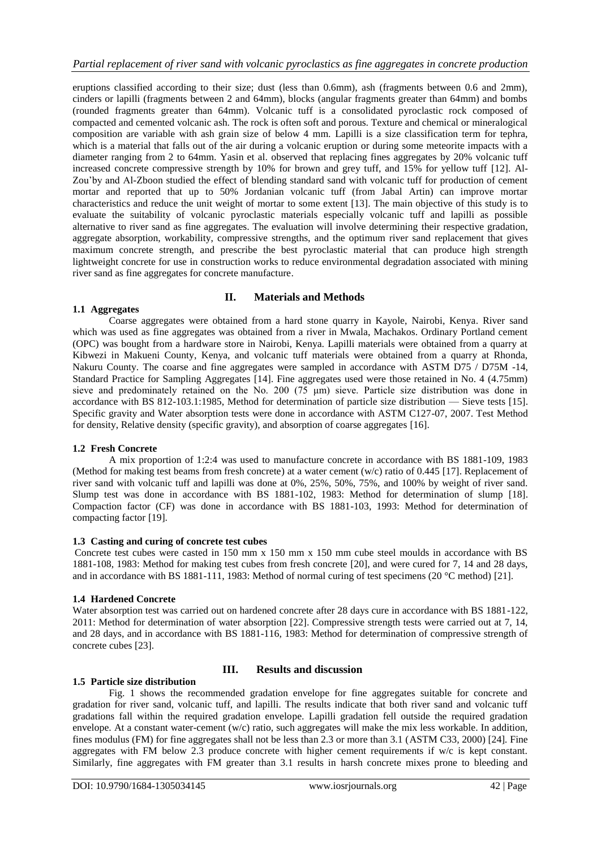eruptions classified according to their size; dust (less than 0.6mm), ash (fragments between 0.6 and 2mm), cinders or lapilli (fragments between 2 and 64mm), blocks (angular fragments greater than 64mm) and bombs (rounded fragments greater than 64mm). Volcanic tuff is a consolidated pyroclastic rock composed of compacted and cemented volcanic ash. The rock is often soft and porous. Texture and chemical or mineralogical composition are variable with ash grain size of below 4 mm. Lapilli is a size classification term for tephra, which is a material that falls out of the air during a volcanic eruption or during some meteorite impacts with a diameter ranging from 2 to 64mm. Yasin et al. observed that replacing fines aggregates by 20% volcanic tuff increased concrete compressive strength by 10% for brown and grey tuff, and 15% for yellow tuff [12]. Al-Zou'by and Al-Zboon studied the effect of blending standard sand with volcanic tuff for production of cement mortar and reported that up to 50% Jordanian volcanic tuff (from Jabal Artin) can improve mortar characteristics and reduce the unit weight of mortar to some extent [13]. The main objective of this study is to evaluate the suitability of volcanic pyroclastic materials especially volcanic tuff and lapilli as possible alternative to river sand as fine aggregates. The evaluation will involve determining their respective gradation, aggregate absorption, workability, compressive strengths, and the optimum river sand replacement that gives maximum concrete strength, and prescribe the best pyroclastic material that can produce high strength lightweight concrete for use in construction works to reduce environmental degradation associated with mining river sand as fine aggregates for concrete manufacture.

# **II. Materials and Methods**

# **1.1 Aggregates**

Coarse aggregates were obtained from a hard stone quarry in Kayole, Nairobi, Kenya. River sand which was used as fine aggregates was obtained from a river in Mwala, Machakos. Ordinary Portland cement (OPC) was bought from a hardware store in Nairobi, Kenya. Lapilli materials were obtained from a quarry at Kibwezi in Makueni County, Kenya, and volcanic tuff materials were obtained from a quarry at Rhonda, Nakuru County. The coarse and fine aggregates were sampled in accordance with ASTM D75 / D75M -14, Standard Practice for Sampling Aggregates [14]. Fine aggregates used were those retained in No. 4 (4.75mm) sieve and predominately retained on the No. 200 (75 μm) sieve. Particle size distribution was done in accordance with BS 812-103.1:1985, Method for determination of particle size distribution — Sieve tests [15]. Specific gravity and Water absorption tests were done in accordance with ASTM C127-07, 2007. Test Method for density, Relative density (specific gravity), and absorption of coarse aggregates [16].

# **1.2 Fresh Concrete**

A mix proportion of 1:2:4 was used to manufacture concrete in accordance with BS 1881-109, 1983 (Method for making test beams from fresh concrete) at a water cement (w/c) ratio of 0.445 [17]. Replacement of river sand with volcanic tuff and lapilli was done at 0%, 25%, 50%, 75%, and 100% by weight of river sand. Slump test was done in accordance with BS 1881-102, 1983: Method for determination of slump [18]. Compaction factor (CF) was done in accordance with BS 1881-103, 1993: Method for determination of compacting factor [19].

# **1.3 Casting and curing of concrete test cubes**

Concrete test cubes were casted in 150 mm x 150 mm x 150 mm cube steel moulds in accordance with BS 1881-108, 1983: Method for making test cubes from fresh concrete [20], and were cured for 7, 14 and 28 days, and in accordance with BS 1881-111, 1983: Method of normal curing of test specimens (20 °C method) [21].

# **1.4 Hardened Concrete**

Water absorption test was carried out on hardened concrete after 28 days cure in accordance with BS 1881-122, 2011: Method for determination of water absorption [22]. Compressive strength tests were carried out at 7, 14, and 28 days, and in accordance with BS 1881-116, 1983: Method for determination of compressive strength of concrete cubes [23].

# **III. Results and discussion**

# **1.5 Particle size distribution**

Fig. 1 shows the recommended gradation envelope for fine aggregates suitable for concrete and gradation for river sand, volcanic tuff, and lapilli. The results indicate that both river sand and volcanic tuff gradations fall within the required gradation envelope. Lapilli gradation fell outside the required gradation envelope. At a constant water-cement (w/c) ratio, such aggregates will make the mix less workable. In addition, fines modulus (FM) for fine aggregates shall not be less than 2.3 or more than 3.1 (ASTM C33*,* 2000) [24]*.* Fine aggregates with FM below 2.3 produce concrete with higher cement requirements if w/c is kept constant. Similarly, fine aggregates with FM greater than 3.1 results in harsh concrete mixes prone to bleeding and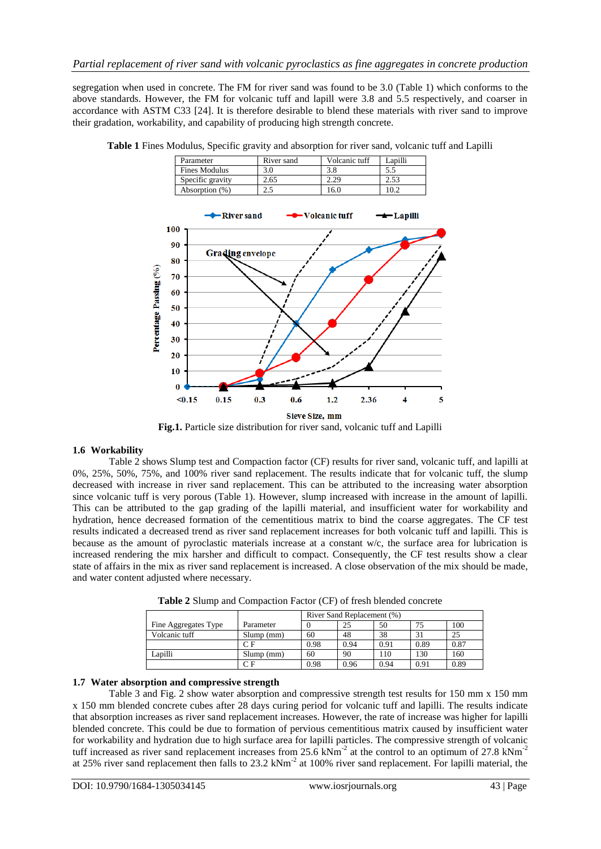segregation when used in concrete. The FM for river sand was found to be 3.0 (Table 1) which conforms to the above standards. However, the FM for volcanic tuff and lapill were 3.8 and 5.5 respectively, and coarser in accordance with ASTM C33 [24]. It is therefore desirable to blend these materials with river sand to improve their gradation, workability, and capability of producing high strength concrete.



**Table 1** Fines Modulus, Specific gravity and absorption for river sand, volcanic tuff and Lapilli

**Fig.1.** Particle size distribution for river sand, volcanic tuff and Lapilli

# **1.6 Workability**

Table 2 shows Slump test and Compaction factor (CF) results for river sand, volcanic tuff, and lapilli at 0%, 25%, 50%, 75%, and 100% river sand replacement. The results indicate that for volcanic tuff, the slump decreased with increase in river sand replacement. This can be attributed to the increasing water absorption since volcanic tuff is very porous (Table 1). However, slump increased with increase in the amount of lapilli. This can be attributed to the gap grading of the lapilli material, and insufficient water for workability and hydration, hence decreased formation of the cementitious matrix to bind the coarse aggregates. The CF test results indicated a decreased trend as river sand replacement increases for both volcanic tuff and lapilli. This is because as the amount of pyroclastic materials increase at a constant w/c, the surface area for lubrication is increased rendering the mix harsher and difficult to compact. Consequently, the CF test results show a clear state of affairs in the mix as river sand replacement is increased. A close observation of the mix should be made, and water content adjusted where necessary.

|                      |           | River Sand Replacement (%) |      |      |      |      |  |  |
|----------------------|-----------|----------------------------|------|------|------|------|--|--|
| Fine Aggregates Type | Parameter |                            | 25   | 50   |      | 100  |  |  |
| Volcanic tuff        | Slump(mm) | 60                         | 48   | 38   | 31   | 25   |  |  |
|                      | СF        | 0.98                       | 0.94 | 0.91 | 0.89 | 0.87 |  |  |
| Lapilli              | Slump(mm) | 60                         | 90   | 110  | 130  | 160  |  |  |
|                      | СF        | 0.98                       | 0.96 | 0.94 | 0.91 | 0.89 |  |  |

**Table 2** Slump and Compaction Factor (CF) of fresh blended concrete

### **1.7 Water absorption and compressive strength**

Table 3 and Fig. 2 show water absorption and compressive strength test results for 150 mm x 150 mm x 150 mm blended concrete cubes after 28 days curing period for volcanic tuff and lapilli. The results indicate that absorption increases as river sand replacement increases. However, the rate of increase was higher for lapilli blended concrete. This could be due to formation of pervious cementitious matrix caused by insufficient water for workability and hydration due to high surface area for lapilli particles. The compressive strength of volcanic tuff increased as river sand replacement increases from 25.6  $kNm^{-2}$  at the control to an optimum of 27.8  $kNm^{-2}$ at 25% river sand replacement then falls to 23.2 kNm<sup>-2</sup> at 100% river sand replacement. For lapilli material, the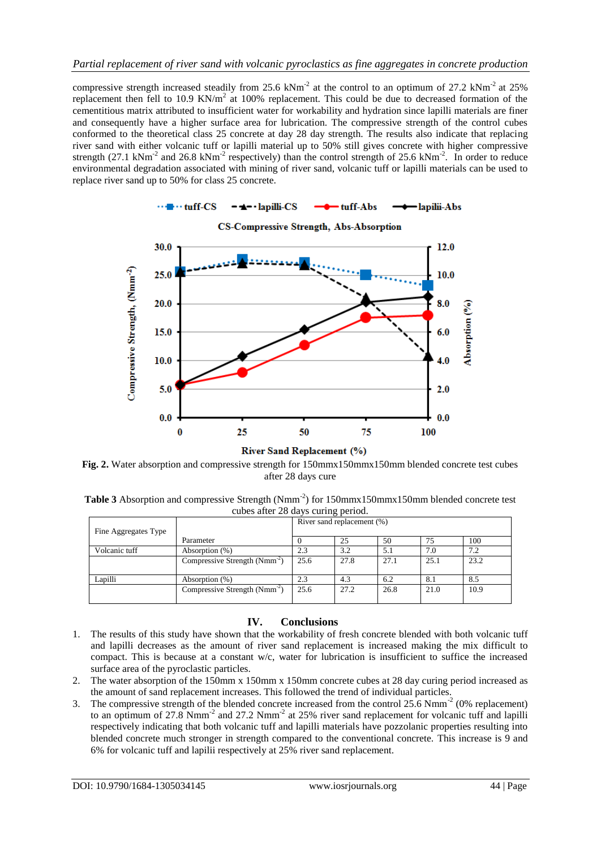compressive strength increased steadily from 25.6  $kNm^{-2}$  at the control to an optimum of 27.2  $kNm^{-2}$  at 25% replacement then fell to 10.9 KN/ $m<sup>2</sup>$  at 100% replacement. This could be due to decreased formation of the cementitious matrix attributed to insufficient water for workability and hydration since lapilli materials are finer and consequently have a higher surface area for lubrication. The compressive strength of the control cubes conformed to the theoretical class 25 concrete at day 28 day strength. The results also indicate that replacing river sand with either volcanic tuff or lapilli material up to 50% still gives concrete with higher compressive strength (27.1 kNm<sup>-2</sup> and 26.8 kNm<sup>-2</sup> respectively) than the control strength of 25.6 kNm<sup>-2</sup>. In order to reduce environmental degradation associated with mining of river sand, volcanic tuff or lapilli materials can be used to replace river sand up to 50% for class 25 concrete.



**Fig. 2.** Water absorption and compressive strength for 150mmx150mmx150mm blended concrete test cubes after 28 days cure

Table 3 Absorption and compressive Strength (Nmm<sup>-2</sup>) for 150mmx150mmx150mm blended concrete test cubes after 28 days curing period.

|                      |                                           | River sand replacement (%) |      |      |      |      |  |
|----------------------|-------------------------------------------|----------------------------|------|------|------|------|--|
| Fine Aggregates Type |                                           |                            |      |      |      |      |  |
|                      | Parameter                                 |                            | 25   | 50   | 75   | 100  |  |
| Volcanic tuff        | Absorption (%)                            | 2.3                        | 3.2  | 5.1  | 7.0  | 7.2  |  |
|                      | Compressive Strength (Nmm <sup>-2</sup> ) | 25.6                       | 27.8 | 27.1 | 25.1 | 23.2 |  |
|                      |                                           |                            |      |      |      |      |  |
| Lapilli              | Absorption (%)                            | 2.3                        | 4.3  | 6.2  | 8.1  | 8.5  |  |
|                      | Compressive Strength (Nmm <sup>-2</sup> ) | 25.6                       | 27.2 | 26.8 | 21.0 | 10.9 |  |
|                      |                                           |                            |      |      |      |      |  |

# **IV. Conclusions**

- 1. The results of this study have shown that the workability of fresh concrete blended with both volcanic tuff and lapilli decreases as the amount of river sand replacement is increased making the mix difficult to compact. This is because at a constant w/c, water for lubrication is insufficient to suffice the increased surface area of the pyroclastic particles.
- 2. The water absorption of the 150mm x 150mm x 150mm concrete cubes at 28 day curing period increased as the amount of sand replacement increases. This followed the trend of individual particles.
- 3. The compressive strength of the blended concrete increased from the control  $25.6$  Nmm<sup>-2</sup> (0% replacement) to an optimum of 27.8  $Nmm^{-2}$  and 27.2  $Nmm^{-2}$  at 25% river sand replacement for volcanic tuff and lapilli respectively indicating that both volcanic tuff and lapilli materials have pozzolanic properties resulting into blended concrete much stronger in strength compared to the conventional concrete. This increase is 9 and 6% for volcanic tuff and lapilii respectively at 25% river sand replacement.